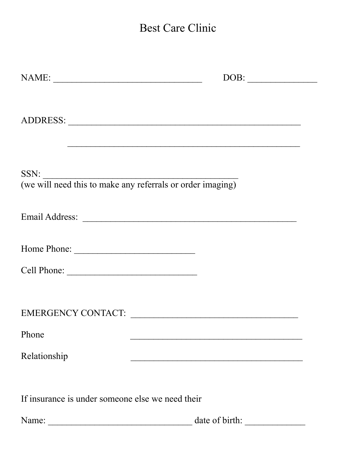## Best Care Clinic

| NAME:                                            | DOB:                                                           |
|--------------------------------------------------|----------------------------------------------------------------|
|                                                  |                                                                |
|                                                  | SSN: we will need this to make any referrals or order imaging) |
|                                                  |                                                                |
|                                                  |                                                                |
|                                                  |                                                                |
|                                                  | EMERGENCY CONTACT:                                             |
| Phone                                            |                                                                |
| Relationship                                     |                                                                |
| If insurance is under someone else we need their |                                                                |
| Name:                                            | date of birth:                                                 |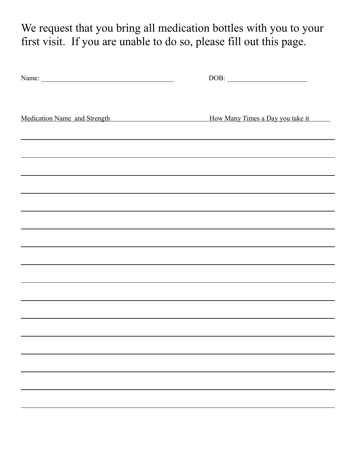We request that you bring all medication bottles with you to your first visit. If you are unable to do so, please fill out this page.

| Name:                        |                                  |
|------------------------------|----------------------------------|
| Medication Name and Strength | How Many Times a Day you take it |
|                              |                                  |
|                              |                                  |
|                              |                                  |
|                              |                                  |
|                              |                                  |
|                              |                                  |
|                              |                                  |
|                              |                                  |
|                              |                                  |
|                              |                                  |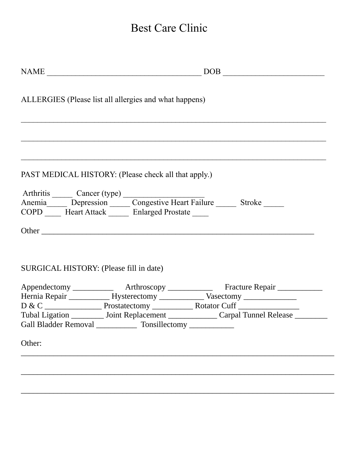## Best Care Clinic

|                         |                                                        | $\begin{tabular}{c} \bf{NAME} \end{tabular}$ $\begin{tabular}{c} \bf{NAME} \end{tabular}$       |
|-------------------------|--------------------------------------------------------|-------------------------------------------------------------------------------------------------|
|                         | ALLERGIES (Please list all allergies and what happens) |                                                                                                 |
|                         |                                                        | ,我们也不能在这里的时候,我们也不能在这里的时候,我们也不能不能不能不能不能不能不能不能不能不能不能不能不能。""我们的是我们的,我们也不能不能不能不能不能不能                |
|                         | PAST MEDICAL HISTORY: (Please check all that apply.)   |                                                                                                 |
| Arthritis Cancer (type) |                                                        |                                                                                                 |
|                         |                                                        | Anemia Depression Congestive Heart Failure Stroke                                               |
|                         | COPD Heart Attack Enlarged Prostate                    |                                                                                                 |
|                         |                                                        |                                                                                                 |
|                         | SURGICAL HISTORY: (Please fill in date)                |                                                                                                 |
|                         |                                                        |                                                                                                 |
|                         |                                                        | Appendectomy ______________ Arthroscopy ______________ Fracture Repair __________               |
|                         |                                                        | Hernia Repair _______________Hysterectomy _________________Vasectomy ____________               |
|                         |                                                        |                                                                                                 |
|                         |                                                        | Tubal Ligation ___________ Joint Replacement _________________Carpal Tunnel Release ___________ |
|                         |                                                        | Gall Bladder Removal ______________ Tonsillectomy ______________                                |
| Other:                  |                                                        |                                                                                                 |
|                         |                                                        |                                                                                                 |
|                         |                                                        |                                                                                                 |
|                         |                                                        |                                                                                                 |
|                         |                                                        |                                                                                                 |
|                         |                                                        |                                                                                                 |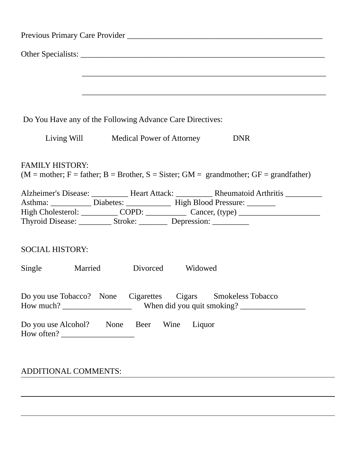|                        | Do You Have any of the Following Advance Care Directives:                                                                                         |
|------------------------|---------------------------------------------------------------------------------------------------------------------------------------------------|
|                        | Living Will Medical Power of Attorney DNR                                                                                                         |
| <b>FAMILY HISTORY:</b> |                                                                                                                                                   |
|                        | $(M = mother; F = father; B = Brother, S = Sister; GM = grandmother; GF = grandfather)$                                                           |
|                        |                                                                                                                                                   |
|                        | Asthma: ______________ Diabetes: _________________ High Blood Pressure: ________                                                                  |
|                        | High Cholesterol: ____________ COPD: _____________ Cancer, (type) _______________                                                                 |
|                        | Thyroid Disease: ____________ Stroke: ___________ Depression: ____________                                                                        |
| <b>SOCIAL HISTORY:</b> |                                                                                                                                                   |
|                        | Single Married Divorced Widowed                                                                                                                   |
|                        | Do you use Tobacco? None Cigarettes Cigars Smokeless Tobacco<br>How much? ___________________________When did you quit smoking? _________________ |

## ADDITIONAL COMMENTS: